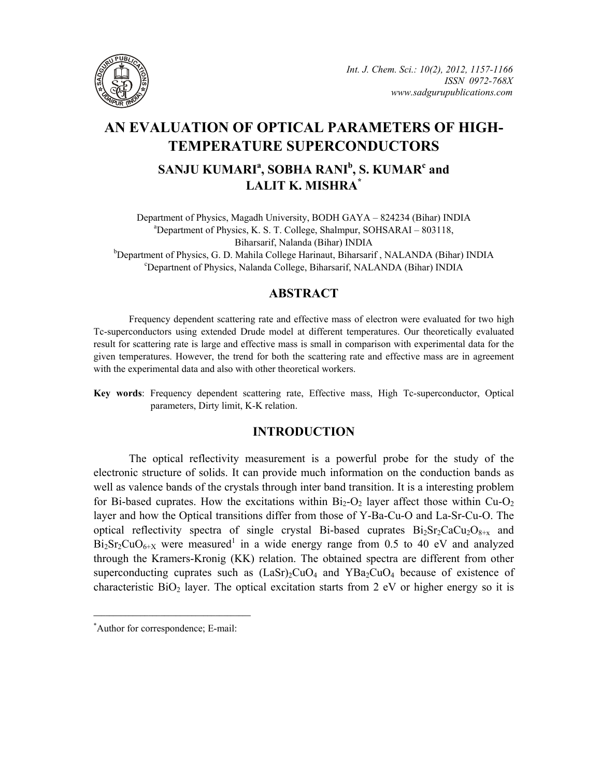

# **AN EVALUATION OF OPTICAL PARAMETERS OF HIGH-TEMPERATURE SUPERCONDUCTORS**

## $\mathbf{SANJU}\mathbf{KUMARI}^{\mathbf{a}}, \mathbf{SOBHA}\mathbf{RANI}^{\mathbf{b}}, \mathbf{S}\mathbf{.}\mathbf{KUMAR}^{\mathbf{c}}$  and **LALIT K. MISHRA\***

Department of Physics, Magadh University, BODH GAYA – 824234 (Bihar) INDIA a Department of Physics, K. S. T. College, Shalmpur, SOHSARAI – 803118, Biharsarif, Nalanda (Bihar) INDIA

b Department of Physics, G. D. Mahila College Harinaut, Biharsarif, NALANDA (Bihar) INDIA contract to the Bhysics Nelson's College Biharsarif MALANDA (Bihar) INDIA Departnent of Physics, Nalanda College, Biharsarif, NALANDA (Bihar) INDIA

## **ABSTRACT**

Frequency dependent scattering rate and effective mass of electron were evaluated for two high Tc-superconductors using extended Drude model at different temperatures. Our theoretically evaluated result for scattering rate is large and effective mass is small in comparison with experimental data for the given temperatures. However, the trend for both the scattering rate and effective mass are in agreement with the experimental data and also with other theoretical workers.

**Key words**: Frequency dependent scattering rate, Effective mass, High Tc-superconductor, Optical parameters, Dirty limit, K-K relation.

### **INTRODUCTION**

The optical reflectivity measurement is a powerful probe for the study of the electronic structure of solids. It can provide much information on the conduction bands as well as valence bands of the crystals through inter band transition. It is a interesting problem for Bi-based cuprates. How the excitations within  $Bi_2-O_2$  layer affect those within  $Cu-O_2$ layer and how the Optical transitions differ from those of Y-Ba-Cu-O and La-Sr-Cu-O. The optical reflectivity spectra of single crystal Bi-based cuprates  $Bi_2Sr_2CaCu_2O_{8+\gamma}$  and  $Bi<sub>2</sub>Sr<sub>2</sub>CuO<sub>6+X</sub>$  were measured<sup>1</sup> in a wide energy range from 0.5 to 40 eV and analyzed through the Kramers-Kronig (KK) relation. The obtained spectra are different from other superconducting cuprates such as  $(LaSr)_{2}CuO_{4}$  and  $YBa_{2}CuO_{4}$  because of existence of characteristic  $BiO<sub>2</sub>$  layer. The optical excitation starts from 2 eV or higher energy so it is

**\_\_\_\_\_\_\_\_\_\_\_\_\_\_\_\_\_\_\_\_\_\_\_\_\_\_\_\_\_\_\_\_\_\_\_\_\_\_\_\_**

<sup>\*</sup> Author for correspondence; E-mail: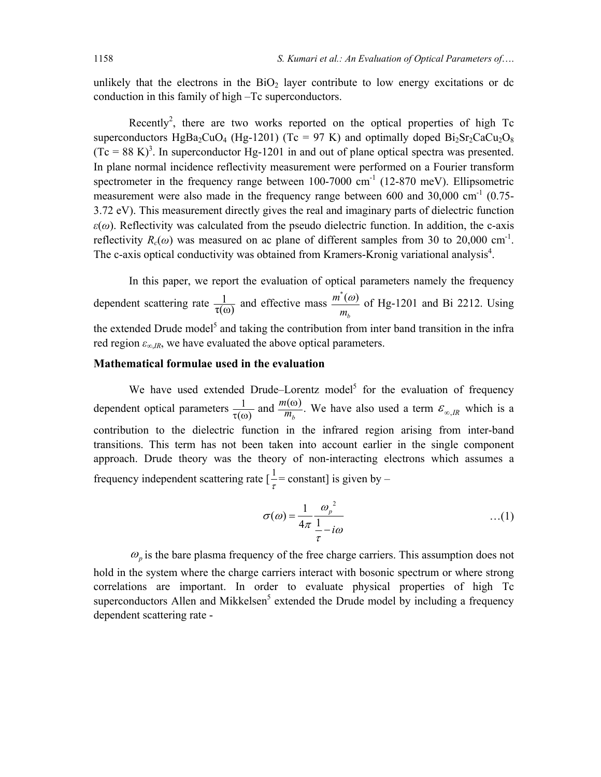unlikely that the electrons in the  $BiO<sub>2</sub>$  layer contribute to low energy excitations or dc conduction in this family of high –Tc superconductors.

Recently<sup>2</sup>, there are two works reported on the optical properties of high Tc superconductors HgBa<sub>2</sub>CuO<sub>4</sub> (Hg-1201) (Tc = 97 K) and optimally doped  $Bi_2Sr_2CaCu_2O_8$  $(Tc = 88 \text{ K})^3$ . In superconductor Hg-1201 in and out of plane optical spectra was presented. In plane normal incidence reflectivity measurement were performed on a Fourier transform spectrometer in the frequency range between  $100-7000$  cm<sup>-1</sup> (12-870 meV). Ellipsometric measurement were also made in the frequency range between  $600$  and  $30,000$  cm<sup>-1</sup>  $(0.75-$ 3.72 eV). This measurement directly gives the real and imaginary parts of dielectric function  $\varepsilon(\omega)$ . Reflectivity was calculated from the pseudo dielectric function. In addition, the c-axis reflectivity  $R_c(\omega)$  was measured on ac plane of different samples from 30 to 20,000 cm<sup>-1</sup>. The c-axis optical conductivity was obtained from Kramers-Kronig variational analysis<sup>4</sup>.

In this paper, we report the evaluation of optical parameters namely the frequency dependent scattering rate  $\frac{1}{\tau(\omega)}$  and effective mass  $\frac{m^*(\omega)}{m}$ *b m m*  $\frac{\omega}{\omega}$  of Hg-1201 and Bi 2212. Using the extended Drude model<sup>5</sup> and taking the contribution from inter band transition in the infra red region *ε∞*,*IR*, we have evaluated the above optical parameters.

#### **Mathematical formulae used in the evaluation**

We have used extended Drude–Lorentz model<sup>5</sup> for the evaluation of frequency dependent optical parameters  $\frac{1}{\tau(\omega)}$  and  $\frac{m(\omega)}{m_b}$ . We have also used a term  $\mathcal{E}_{\infty,R}$  which is a contribution to the dielectric function in the infrared region arising from inter-band transitions. This term has not been taken into account earlier in the single component approach. Drude theory was the theory of non-interacting electrons which assumes a frequency independent scattering rate  $\left[\frac{1}{\tau}\right]$  = constant] is given by –

$$
\sigma(\omega) = \frac{1}{4\pi} \frac{\omega_p^2}{\frac{1}{\tau} - i\omega} \qquad \qquad \dots (1)
$$

 $\omega_p$  is the bare plasma frequency of the free charge carriers. This assumption does not hold in the system where the charge carriers interact with bosonic spectrum or where strong correlations are important. In order to evaluate physical properties of high Tc superconductors Allen and Mikkelsen<sup>5</sup> extended the Drude model by including a frequency dependent scattering rate -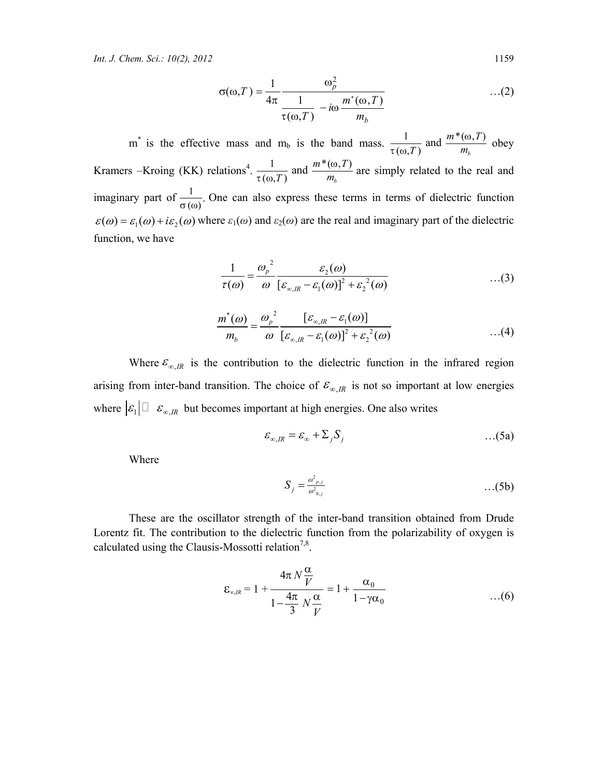$$
\sigma(\omega,T) = \frac{1}{4\pi} \frac{\omega_p^2}{\frac{1}{\tau(\omega,T)} - i\omega \frac{m^*(\omega,T)}{m_b}} \qquad \qquad \dots (2)
$$

m<sup>\*</sup> is the effective mass and m<sub>b</sub> is the band mass.  $\frac{1}{\tau(\omega,T)}$  and  $\frac{m^*(\omega,T)}{m_b}$ and  $\frac{m*(\omega, T)}{m_h}$ ω  $\frac{1}{\tau(\omega,T)}$  and  $\frac{m(\omega,1)}{m_b}$  obey Kramers –Kroing (KK) relations<sup>4</sup>.  $\frac{1}{(m-1)^2}$  and  $\frac{m^*(\omega, T)}{m}$  $(\omega,T)$   $m_b$ and  $\frac{m*(\omega, T)}{m_h}$ ω  $\frac{1}{\tau(\omega,T)}$  and  $\frac{m(\omega,1)}{m_b}$  are simply related to the real and imaginary part of  $\frac{1}{\sigma(\omega)}$ . One can also express these terms in terms of dielectric function  $\epsilon(\omega) = \epsilon_1(\omega) + i\epsilon_2(\omega)$  where  $\epsilon_1(\omega)$  and  $\epsilon_2(\omega)$  are the real and imaginary part of the dielectric function, we have

$$
\frac{1}{\tau(\omega)} = \frac{\omega_p^2}{\omega} \frac{\varepsilon_2(\omega)}{\left[\varepsilon_{\infty,R} - \varepsilon_1(\omega)\right]^2 + \varepsilon_2^2(\omega)} \tag{3}
$$

$$
\frac{m^*(\omega)}{m_b} = \frac{\omega_p^2}{\omega} \frac{[\varepsilon_{\infty,R} - \varepsilon_1(\omega)]}{[\varepsilon_{\infty,R} - \varepsilon_1(\omega)]^2 + \varepsilon_2^2(\omega)} \qquad ...(4)
$$

Where  $\varepsilon_{\infty,IR}$  is the contribution to the dielectric function in the infrared region arising from inter-band transition. The choice of  $\mathcal{E}_{\infty,IR}$  is not so important at low energies where  $|\varepsilon_1| \Box \varepsilon_{\infty,R}$  but becomes important at high energies. One also writes

$$
\varepsilon_{\infty,IR} = \varepsilon_{\infty} + \Sigma_j S_j \tag{5a}
$$

Where

$$
S_j = \frac{\omega_{p,j}^2}{\omega_{0,j}^2} \qquad \qquad \dots (5b)
$$

These are the oscillator strength of the inter-band transition obtained from Drude Lorentz fit. The contribution to the dielectric function from the polarizability of oxygen is calculated using the Clausis-Mossotti relation<sup>7,8</sup>.

$$
\varepsilon_{\infty,R} = 1 + \frac{4\pi N \frac{\alpha}{V}}{1 - \frac{4\pi}{3} N \frac{\alpha}{V}} = 1 + \frac{\alpha_0}{1 - \gamma \alpha_0} \qquad \qquad \dots (6)
$$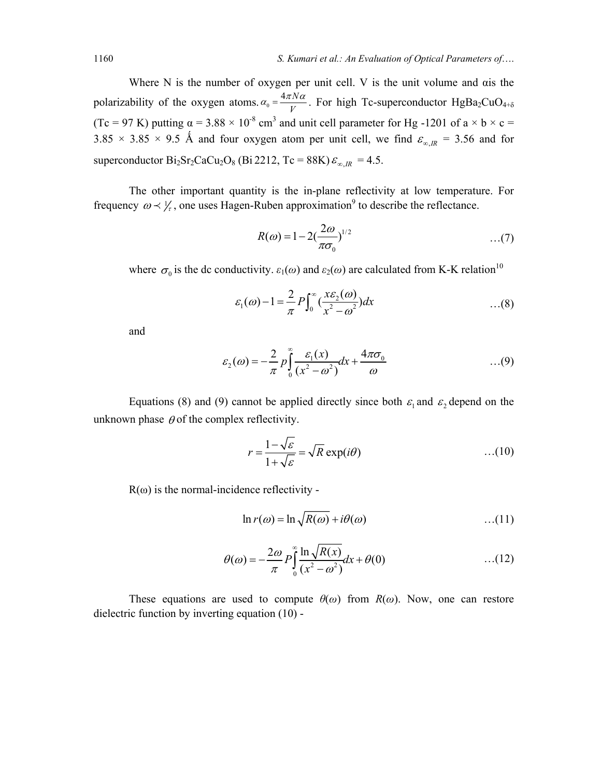Where N is the number of oxygen per unit cell. V is the unit volume and αis the polarizability of the oxygen atoms.  $\alpha_0 = \frac{4\pi N}{V}$ *V*  $\alpha_0 = \frac{4\pi N\alpha}{V}$ . For high Tc-superconductor HgBa<sub>2</sub>CuO<sub>4+δ</sub> (Tc = 97 K) putting  $\alpha$  = 3.88  $\times$  10<sup>-8</sup> cm<sup>3</sup> and unit cell parameter for Hg -1201 of a  $\times$  b  $\times$  c =  $3.85 \times 3.85 \times 9.5$  Å and four oxygen atom per unit cell, we find  $\varepsilon_{\infty,R}$  = 3.56 and for superconductor  $Bi_2Sr_2CaCu_2O_8$  (Bi 2212, Tc = 88K)  $\varepsilon_{\infty,IR}$  = 4.5.

The other important quantity is the in-plane reflectivity at low temperature. For frequency  $\omega \prec \frac{1}{r}$ , one uses Hagen-Ruben approximation<sup>9</sup> to describe the reflectance.

$$
R(\omega) = 1 - 2\left(\frac{2\omega}{\pi \sigma_0}\right)^{1/2} \tag{7}
$$

where  $\sigma_0$  is the dc conductivity.  $\varepsilon_1(\omega)$  and  $\varepsilon_2(\omega)$  are calculated from K-K relation<sup>10</sup>

$$
\varepsilon_1(\omega) - 1 = \frac{2}{\pi} P \int_0^\infty \left( \frac{x \varepsilon_2(\omega)}{x^2 - \omega^2} \right) dx \tag{8}
$$

and

$$
\varepsilon_2(\omega) = -\frac{2}{\pi} p \int_0^\infty \frac{\varepsilon_1(x)}{(x^2 - \omega^2)} dx + \frac{4\pi\sigma_0}{\omega} \qquad \qquad \dots (9)
$$

Equations (8) and (9) cannot be applied directly since both  $\varepsilon_1$  and  $\varepsilon_2$  depend on the unknown phase  $\theta$  of the complex reflectivity.

$$
r = \frac{1 - \sqrt{\varepsilon}}{1 + \sqrt{\varepsilon}} = \sqrt{R} \exp(i\theta) \tag{10}
$$

 $R(\omega)$  is the normal-incidence reflectivity -

$$
\ln r(\omega) = \ln \sqrt{R(\omega)} + i\theta(\omega) \tag{11}
$$

$$
\theta(\omega) = -\frac{2\omega}{\pi} P \int_{0}^{\infty} \frac{\ln \sqrt{R(x)}}{(x^2 - \omega^2)} dx + \theta(0) \quad ...(12)
$$

These equations are used to compute  $\theta(\omega)$  from  $R(\omega)$ . Now, one can restore dielectric function by inverting equation (10) -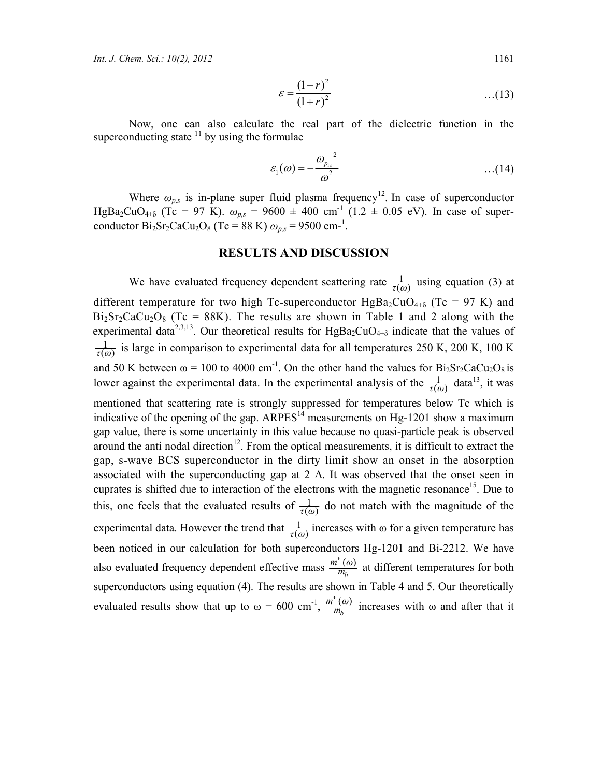$$
\varepsilon = \frac{(1 - r)^2}{(1 + r)^2} \tag{13}
$$

Now, one can also calculate the real part of the dielectric function in the superconducting state  $11$  by using the formulae

$$
\varepsilon_1(\omega) = -\frac{\omega_{p_{1s}}^2}{\omega^2} \qquad \qquad \dots (14)
$$

Where  $\omega_{p,s}$  is in-plane super fluid plasma frequency<sup>12</sup>. In case of superconductor HgBa<sub>2</sub>CuO<sub>4+δ</sub> (Tc = 97 K).  $\omega_{p,s}$  = 9600  $\pm$  400 cm<sup>-1</sup> (1.2  $\pm$  0.05 eV). In case of superconductor  $Bi_2Sr_2CaCu_2O_8$  (Tc = 88 K)  $\omega_{p,s}$  = 9500 cm-<sup>1</sup>.

#### **RESULTS AND DISCUSSION**

We have evaluated frequency dependent scattering rate  $\frac{1}{\tau(\omega)}$  using equation (3) at different temperature for two high Tc-superconductor  $HgBa_2CuO_{4+\delta}$  (Tc = 97 K) and  $Bi<sub>2</sub>Sr<sub>2</sub>CaCu<sub>2</sub>O<sub>8</sub>$  (Tc = 88K). The results are shown in Table 1 and 2 along with the experimental data<sup>2,3,13</sup>. Our theoretical results for HgBa<sub>2</sub>CuO<sub>4+δ</sub> indicate that the values of  $\overline{( \omega)}$  $\frac{1}{\tau(\omega)}$  is large in comparison to experimental data for all temperatures 250 K, 200 K, 100 K and 50 K between  $\omega$  = 100 to 4000 cm<sup>-1</sup>. On the other hand the values for Bi<sub>2</sub>Sr<sub>2</sub>CaCu<sub>2</sub>O<sub>8</sub> is lower against the experimental data. In the experimental analysis of the  $\frac{1}{\tau(\omega)}$  $\frac{1}{\tau(\omega)}$  data<sup>13</sup>, it was mentioned that scattering rate is strongly suppressed for temperatures below Tc which is indicative of the opening of the gap.  $ARPES<sup>14</sup>$  measurements on Hg-1201 show a maximum gap value, there is some uncertainty in this value because no quasi-particle peak is observed around the anti nodal direction<sup>12</sup>. From the optical measurements, it is difficult to extract the gap, s-wave BCS superconductor in the dirty limit show an onset in the absorption associated with the superconducting gap at  $2 \Delta$ . It was observed that the onset seen in cuprates is shifted due to interaction of the electrons with the magnetic resonance<sup>15</sup>. Due to this, one feels that the evaluated results of  $\frac{1}{\tau(\omega)}$  do not match with the magnitude of the experimental data. However the trend that  $\frac{1}{\tau(\omega)}$  $\frac{1}{\tau(\omega)}$  increases with  $\omega$  for a given temperature has been noticed in our calculation for both superconductors Hg-1201 and Bi-2212. We have also evaluated frequency dependent effective mass  $\frac{m^*(q)}{m_b}$  $\frac{m^*(\omega)}{m_h}$  at different temperatures for both superconductors using equation (4). The results are shown in Table 4 and 5. Our theoretically evaluated results show that up to  $\omega = 600 \text{ cm}^{-1}, \frac{m^*(a)}{m_b}$  $\frac{m^*(\omega)}{m_h}$  increases with  $\omega$  and after that it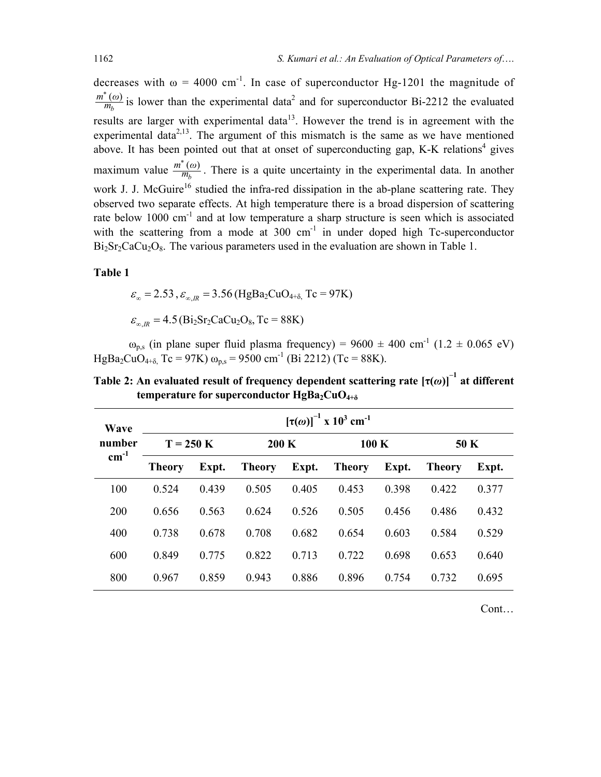decreases with  $\omega = 4000 \text{ cm}^{-1}$ . In case of superconductor Hg-1201 the magnitude of *b \**  $\frac{m^*(\omega)}{m_h}$  is lower than the experimental data<sup>2</sup> and for superconductor Bi-2212 the evaluated results are larger with experimental data<sup>13</sup>. However the trend is in agreement with the experimental data<sup> $2,13$ </sup>. The argument of this mismatch is the same as we have mentioned above. It has been pointed out that at onset of superconducting gap, K-K relations<sup>4</sup> gives maximum value  $\frac{m}{m_b}$ *\**  $\frac{m^*(\omega)}{m_h}$ . There is a quite uncertainty in the experimental data. In another work J. J. McGuire<sup>16</sup> studied the infra-red dissipation in the ab-plane scattering rate. They observed two separate effects. At high temperature there is a broad dispersion of scattering rate below 1000 cm<sup>-1</sup> and at low temperature a sharp structure is seen which is associated with the scattering from a mode at  $300 \text{ cm}^{-1}$  in under doped high Tc-superconductor  $Bi<sub>2</sub>Sr<sub>2</sub>CaCu<sub>2</sub>O<sub>8</sub>$ . The various parameters used in the evaluation are shown in Table 1.

#### **Table 1**

 $\varepsilon_{\infty} = 2.53$ ,  $\varepsilon_{\infty} = 3.56$  (HgBa<sub>2</sub>CuO<sub>4+δ</sub>, Tc = 97K)

 $\varepsilon_{\infty IR} = 4.5$  (Bi<sub>2</sub>Sr<sub>2</sub>CaCu<sub>2</sub>O<sub>8</sub>, Tc = 88K)

 $\omega_{p,s}$  (in plane super fluid plasma frequency) = 9600  $\pm$  400 cm<sup>-1</sup> (1.2  $\pm$  0.065 eV) HgBa<sub>2</sub>CuO<sub>4+δ</sub>, Tc = 97K)  $\omega_{p,s}$  = 9500 cm<sup>-1</sup> (Bi 2212) (Tc = 88K).

**Table 2:** An evaluated result of frequency dependent scattering rate  $[\tau(\omega)]^{-1}$  at different **temperature for superconductor HgBa<sub>2</sub>CuO<sub>4+δ</sub>** 

| Wave<br>number | $[\tau(\omega)]^{-1}$ x 10 <sup>3</sup> cm <sup>-1</sup> |       |                 |       |               |       |               |       |  |
|----------------|----------------------------------------------------------|-------|-----------------|-------|---------------|-------|---------------|-------|--|
|                | $T = 250 K$                                              |       | $200\mathrm{K}$ |       | 100 K         |       | 50 K          |       |  |
| $cm^{-1}$      | <b>Theory</b>                                            | Expt. | <b>Theory</b>   | Expt. | <b>Theory</b> | Expt. | <b>Theory</b> | Expt. |  |
| 100            | 0.524                                                    | 0.439 | 0.505           | 0.405 | 0.453         | 0.398 | 0.422         | 0.377 |  |
| 200            | 0.656                                                    | 0.563 | 0.624           | 0.526 | 0.505         | 0.456 | 0.486         | 0.432 |  |
| 400            | 0.738                                                    | 0.678 | 0.708           | 0.682 | 0.654         | 0.603 | 0.584         | 0.529 |  |
| 600            | 0.849                                                    | 0.775 | 0.822           | 0.713 | 0.722         | 0.698 | 0.653         | 0.640 |  |
| 800            | 0.967                                                    | 0.859 | 0.943           | 0.886 | 0.896         | 0.754 | 0.732         | 0.695 |  |

Cont…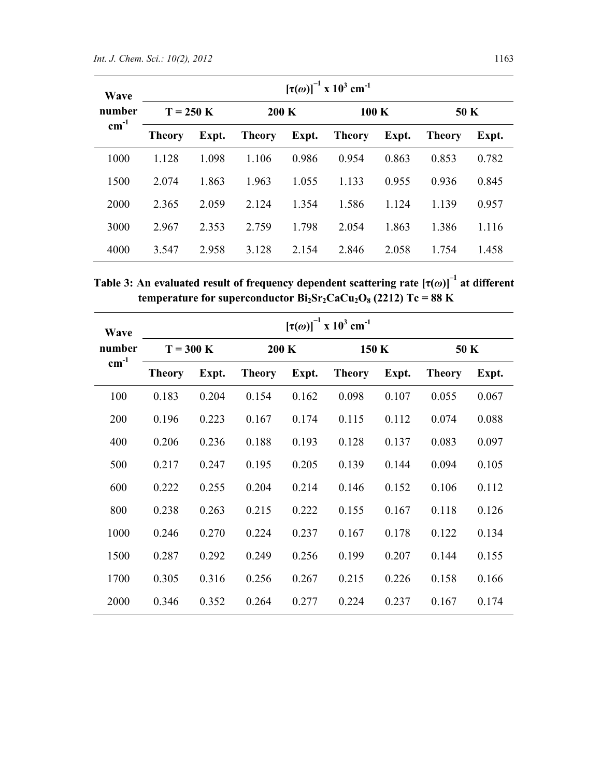| Wave<br>number | $[\tau(\omega)]^{-1}$ x 10 <sup>3</sup> cm <sup>-1</sup> |       |                 |       |                  |       |               |       |  |
|----------------|----------------------------------------------------------|-------|-----------------|-------|------------------|-------|---------------|-------|--|
|                | $T = 250$ K                                              |       | $200\mathrm{K}$ |       | $100\mathrm{~K}$ |       | 50 K          |       |  |
| $cm^{-1}$      | Theory                                                   | Expt. | <b>Theory</b>   | Expt. | <b>Theory</b>    | Expt. | <b>Theory</b> | Expt. |  |
| 1000           | 1.128                                                    | 1.098 | 1.106           | 0.986 | 0.954            | 0.863 | 0.853         | 0.782 |  |
| 1500           | 2.074                                                    | 1.863 | 1.963           | 1.055 | 1.133            | 0.955 | 0.936         | 0.845 |  |
| 2000           | 2.365                                                    | 2.059 | 2.124           | 1.354 | 1.586            | 1.124 | 1.139         | 0.957 |  |
| 3000           | 2.967                                                    | 2.353 | 2.759           | 1.798 | 2.054            | 1.863 | 1.386         | 1.116 |  |
| 4000           | 3.547                                                    | 2.958 | 3.128           | 2.154 | 2.846            | 2.058 | 1.754         | 1.458 |  |

**Table 3: An evaluated result of frequency dependent scattering rate [τ(***ω***)]–1 at different temperature for superconductor**  $Bi_2Sr_2CaCu_2O_8$  **(2212) Tc = 88 K** 

| Wave<br>number | $[\tau(\omega)]^{-1}$ x 10 <sup>3</sup> cm <sup>-1</sup> |       |               |       |               |       |                                                                                                         |       |  |  |
|----------------|----------------------------------------------------------|-------|---------------|-------|---------------|-------|---------------------------------------------------------------------------------------------------------|-------|--|--|
|                | $T = 300$ K                                              |       | 200 K         |       |               | 150 K |                                                                                                         | 50 K  |  |  |
| $cm^{-1}$      | <b>Theory</b>                                            | Expt. | <b>Theory</b> | Expt. | <b>Theory</b> | Expt. | <b>Theory</b><br>0.055<br>0.074<br>0.083<br>0.094<br>0.106<br>0.118<br>0.122<br>0.144<br>0.158<br>0.167 | Expt. |  |  |
| 100            | 0.183                                                    | 0.204 | 0.154         | 0.162 | 0.098         | 0.107 |                                                                                                         | 0.067 |  |  |
| 200            | 0.196                                                    | 0.223 | 0.167         | 0.174 | 0.115         | 0.112 |                                                                                                         | 0.088 |  |  |
| 400            | 0.206                                                    | 0.236 | 0.188         | 0.193 | 0.128         | 0.137 |                                                                                                         | 0.097 |  |  |
| 500            | 0.217                                                    | 0.247 | 0.195         | 0.205 | 0.139         | 0.144 |                                                                                                         | 0.105 |  |  |
| 600            | 0.222                                                    | 0.255 | 0.204         | 0.214 | 0.146         | 0.152 |                                                                                                         | 0.112 |  |  |
| 800            | 0.238                                                    | 0.263 | 0.215         | 0.222 | 0.155         | 0.167 |                                                                                                         | 0.126 |  |  |
| 1000           | 0.246                                                    | 0.270 | 0.224         | 0.237 | 0.167         | 0.178 |                                                                                                         | 0.134 |  |  |
| 1500           | 0.287                                                    | 0.292 | 0.249         | 0.256 | 0.199         | 0.207 |                                                                                                         | 0.155 |  |  |
| 1700           | 0.305                                                    | 0.316 | 0.256         | 0.267 | 0.215         | 0.226 |                                                                                                         | 0.166 |  |  |
| 2000           | 0.346                                                    | 0.352 | 0.264         | 0.277 | 0.224         | 0.237 |                                                                                                         | 0.174 |  |  |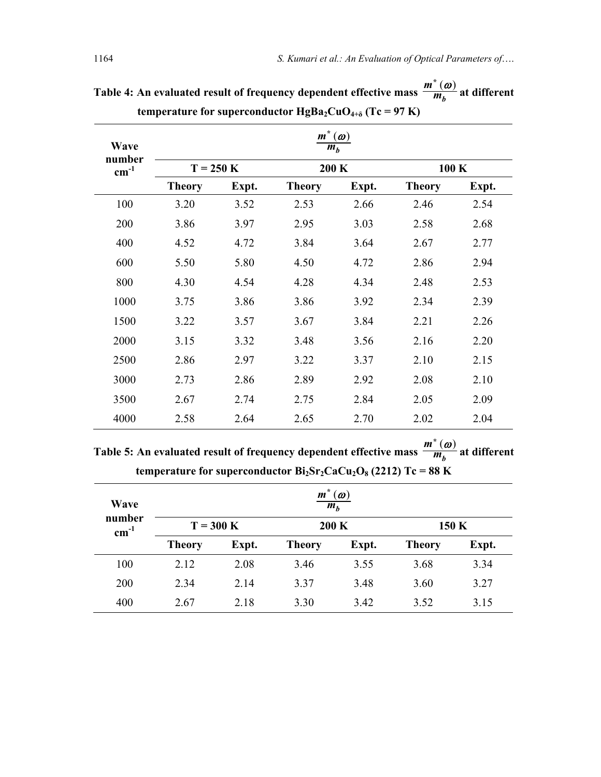|                     |                                                      |       | o             |       |               |       |  |  |  |
|---------------------|------------------------------------------------------|-------|---------------|-------|---------------|-------|--|--|--|
| Wave                | $m^*$<br>$\boldsymbol{(\omega)}$<br>$\overline{m}_b$ |       |               |       |               |       |  |  |  |
| number<br>$cm^{-1}$ | $T = 250$ K                                          |       | 200 K         |       | 100 K         |       |  |  |  |
|                     | <b>Theory</b>                                        | Expt. | <b>Theory</b> | Expt. | <b>Theory</b> | Expt. |  |  |  |
| 100                 | 3.20                                                 | 3.52  | 2.53          | 2.66  | 2.46          | 2.54  |  |  |  |
| 200                 | 3.86                                                 | 3.97  | 2.95          | 3.03  | 2.58          | 2.68  |  |  |  |
| 400                 | 4.52                                                 | 4.72  | 3.84          | 3.64  | 2.67          | 2.77  |  |  |  |
| 600                 | 5.50                                                 | 5.80  | 4.50          | 4.72  | 2.86          | 2.94  |  |  |  |
| 800                 | 4.30                                                 | 4.54  | 4.28          | 4.34  | 2.48          | 2.53  |  |  |  |
| 1000                | 3.75                                                 | 3.86  | 3.86          | 3.92  | 2.34          | 2.39  |  |  |  |
| 1500                | 3.22                                                 | 3.57  | 3.67          | 3.84  | 2.21          | 2.26  |  |  |  |
| 2000                | 3.15                                                 | 3.32  | 3.48          | 3.56  | 2.16          | 2.20  |  |  |  |
| 2500                | 2.86                                                 | 2.97  | 3.22          | 3.37  | 2.10          | 2.15  |  |  |  |
| 3000                | 2.73                                                 | 2.86  | 2.89          | 2.92  | 2.08          | 2.10  |  |  |  |
| 3500                | 2.67                                                 | 2.74  | 2.75          | 2.84  | 2.05          | 2.09  |  |  |  |
| 4000                | 2.58                                                 | 2.64  | 2.65          | 2.70  | 2.02          | 2.04  |  |  |  |

Table 4: An evaluated result of frequency dependent effective mass  $\frac{m}{m_b}$ *\* m*  $\frac{m^*(\omega)}{m}$  at different **temperature for superconductor**  $HgBa_2CuO_{4+\delta}$  **(Tc = 97 K)** 

**Table 5:** An evaluated result of frequency dependent effective mass  $\frac{m}{m_b}$ *\* m*  $\frac{m^*(\omega)}{m}$  at different **temperature for superconductor**  $Bi_2Sr_2CaCu_2O_8$  **(2212) Tc = 88 K** 

| Wave                | $(\boldsymbol{\omega})$<br>$\boldsymbol{m}$<br>m <sub>h</sub> |       |               |       |               |       |  |  |  |
|---------------------|---------------------------------------------------------------|-------|---------------|-------|---------------|-------|--|--|--|
| number<br>$cm^{-1}$ | $T = 300$ K                                                   |       | 200 K         |       | 150 K         |       |  |  |  |
|                     | <b>Theory</b>                                                 | Expt. | <b>Theory</b> | Expt. | <b>Theory</b> | Expt. |  |  |  |
| 100                 | 2.12                                                          | 2.08  | 3.46          | 3.55  | 3.68          | 3.34  |  |  |  |
| 200                 | 2.34                                                          | 2.14  | 3.37          | 3.48  | 3.60          | 3.27  |  |  |  |
| 400                 | 2.67                                                          | 2.18  | 3.30          | 3.42  | 3.52          | 3.15  |  |  |  |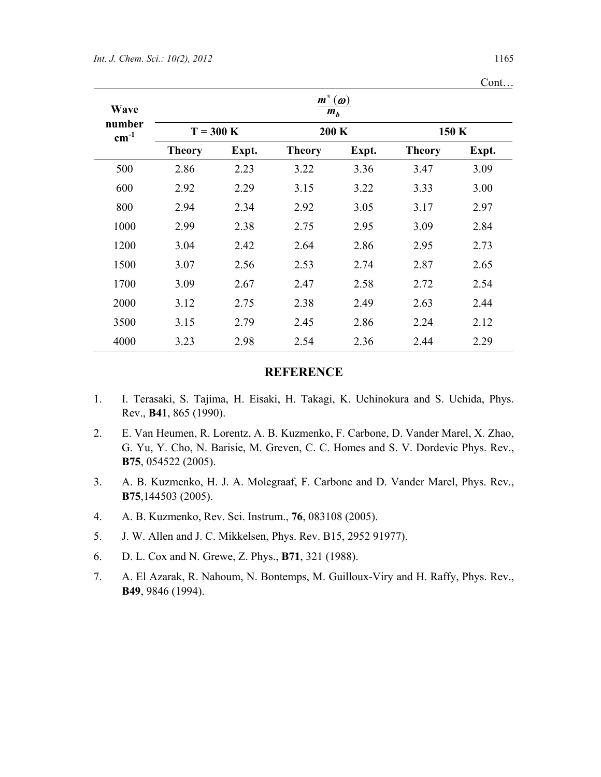|                     |               |       |                |                         |               | Cont  |
|---------------------|---------------|-------|----------------|-------------------------|---------------|-------|
| Wave                |               |       | $m^*$<br>$m_b$ | $(\boldsymbol{\omega})$ |               |       |
| number<br>$cm^{-1}$ | $T = 300$ K   |       | 200 K          |                         | 150 K         |       |
|                     | <b>Theory</b> | Expt. | <b>Theory</b>  | Expt.                   | <b>Theory</b> | Expt. |
| 500                 | 2.86          | 2.23  | 3.22           | 3.36                    | 3.47          | 3.09  |
| 600                 | 2.92          | 2.29  | 3.15           | 3.22                    | 3.33          | 3.00  |
| 800                 | 2.94          | 2.34  | 2.92           | 3.05                    | 3.17          | 2.97  |
| 1000                | 2.99          | 2.38  | 2.75           | 2.95                    | 3.09          | 2.84  |
| 1200                | 3.04          | 2.42  | 2.64           | 2.86                    | 2.95          | 2.73  |
| 1500                | 3.07          | 2.56  | 2.53           | 2.74                    | 2.87          | 2.65  |
| 1700                | 3.09          | 2.67  | 2.47           | 2.58                    | 2.72          | 2.54  |
| 2000                | 3.12          | 2.75  | 2.38           | 2.49                    | 2.63          | 2.44  |
| 3500                | 3.15          | 2.79  | 2.45           | 2.86                    | 2.24          | 2.12  |
| 4000                | 3.23          | 2.98  | 2.54           | 2.36                    | 2.44          | 2.29  |

#### **REFERENCE**

- 1. I. Terasaki, S. Tajima, H. Eisaki, H. Takagi, K. Uchinokura and S. Uchida, Phys. Rev., **B41**, 865 (1990).
- 2. E. Van Heumen, R. Lorentz, A. B. Kuzmenko, F. Carbone, D. Vander Marel, X. Zhao, G. Yu, Y. Cho, N. Barisie, M. Greven, C. C. Homes and S. V. Dordevic Phys. Rev., **B75**, 054522 (2005).
- 3. A. B. Kuzmenko, H. J. A. Molegraaf, F. Carbone and D. Vander Marel, Phys. Rev., **B75**,144503 (2005).
- 4. A. B. Kuzmenko, Rev. Sci. Instrum., **76**, 083108 (2005).
- 5. J. W. Allen and J. C. Mikkelsen, Phys. Rev. B15, 2952 91977).
- 6. D. L. Cox and N. Grewe, Z. Phys., **B71**, 321 (1988).
- 7. A. El Azarak, R. Nahoum, N. Bontemps, M. Guilloux-Viry and H. Raffy, Phys. Rev., **B49**, 9846 (1994).